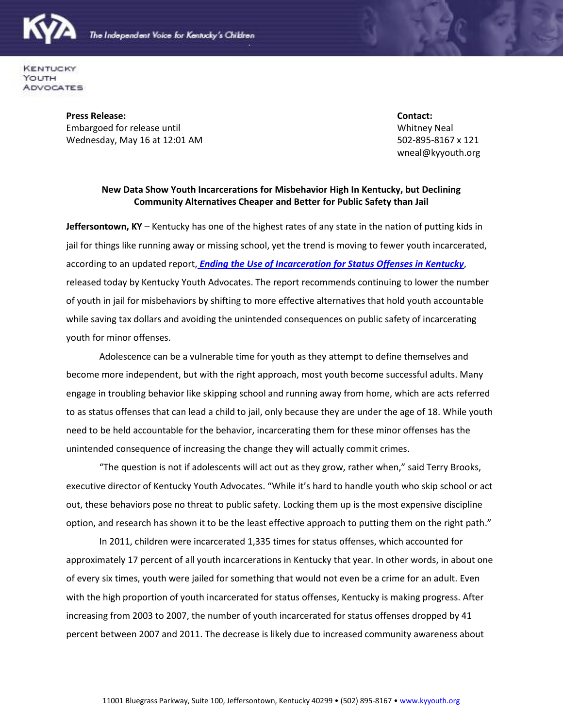

**KENTUCKY** YOUTH ADVOCATES

> **Press Release: Contact:** Embargoed for release until Whitney Neal Wednesday, May 16 at 12:01 AM 502-895-8167 x 121

wneal@kyyouth.org

## **New Data Show Youth Incarcerations for Misbehavior High In Kentucky, but Declining Community Alternatives Cheaper and Better for Public Safety than Jail**

**Jeffersontown, KY** – Kentucky has one of the highest rates of any state in the nation of putting kids in jail for things like running away or missing school, yet the trend is moving to fewer youth incarcerated, according to an updated report, *Ending [the Use of Incarceration for Status Offenses in Kentucky](http://www.kyyouth.org/documents/12pub_EndingIncarcerationforStatusOffenses.pdf)*, released today by Kentucky Youth Advocates. The report recommends continuing to lower the number of youth in jail for misbehaviors by shifting to more effective alternatives that hold youth accountable while saving tax dollars and avoiding the unintended consequences on public safety of incarcerating youth for minor offenses.

Adolescence can be a vulnerable time for youth as they attempt to define themselves and become more independent, but with the right approach, most youth become successful adults. Many engage in troubling behavior like skipping school and running away from home, which are acts referred to as status offenses that can lead a child to jail, only because they are under the age of 18. While youth need to be held accountable for the behavior, incarcerating them for these minor offenses has the unintended consequence of increasing the change they will actually commit crimes.

"The question is not if adolescents will act out as they grow, rather when," said Terry Brooks, executive director of Kentucky Youth Advocates. "While it's hard to handle youth who skip school or act out, these behaviors pose no threat to public safety. Locking them up is the most expensive discipline option, and research has shown it to be the least effective approach to putting them on the right path."

In 2011, children were incarcerated 1,335 times for status offenses, which accounted for approximately 17 percent of all youth incarcerations in Kentucky that year. In other words, in about one of every six times, youth were jailed for something that would not even be a crime for an adult. Even with the high proportion of youth incarcerated for status offenses, Kentucky is making progress. After increasing from 2003 to 2007, the number of youth incarcerated for status offenses dropped by 41 percent between 2007 and 2011. The decrease is likely due to increased community awareness about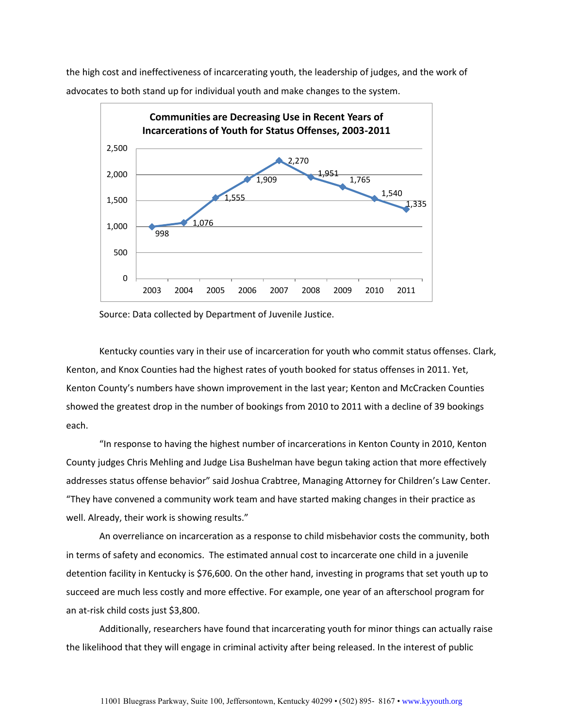the high cost and ineffectiveness of incarcerating youth, the leadership of judges, and the work of advocates to both stand up for individual youth and make changes to the system.



Source: Data collected by Department of Juvenile Justice.

Kentucky counties vary in their use of incarceration for youth who commit status offenses. Clark, Kenton, and Knox Counties had the highest rates of youth booked for status offenses in 2011. Yet, Kenton County's numbers have shown improvement in the last year; Kenton and McCracken Counties showed the greatest drop in the number of bookings from 2010 to 2011 with a decline of 39 bookings each.

"In response to having the highest number of incarcerations in Kenton County in 2010, Kenton County judges Chris Mehling and Judge Lisa Bushelman have begun taking action that more effectively addresses status offense behavior" said Joshua Crabtree, Managing Attorney for Children's Law Center. "They have convened a community work team and have started making changes in their practice as well. Already, their work is showing results."

An overreliance on incarceration as a response to child misbehavior costs the community, both in terms of safety and economics. The estimated annual cost to incarcerate one child in a juvenile detention facility in Kentucky is \$76,600. On the other hand, investing in programs that set youth up to succeed are much less costly and more effective. For example, one year of an afterschool program for an at-risk child costs just \$3,800.

Additionally, researchers have found that incarcerating youth for minor things can actually raise the likelihood that they will engage in criminal activity after being released. In the interest of public